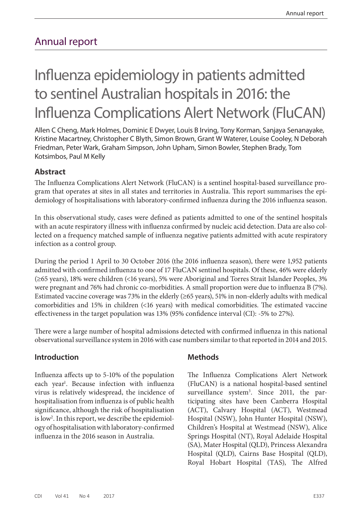## Annual report

# Influenza epidemiology in patients admitted to sentinel Australian hospitals in 2016: the Influenza Complications Alert Network (FluCAN)

Allen C Cheng, Mark Holmes, Dominic E Dwyer, Louis B Irving, Tony Korman, Sanjaya Senanayake, Kristine Macartney, Christopher C Blyth, Simon Brown, Grant W Waterer, Louise Cooley, N Deborah Friedman, Peter Wark, Graham Simpson, John Upham, Simon Bowler, Stephen Brady, Tom Kotsimbos, Paul M Kelly

### **Abstract**

The Influenza Complications Alert Network (FluCAN) is a sentinel hospital-based surveillance program that operates at sites in all states and territories in Australia. This report summarises the epidemiology of hospitalisations with laboratory-confirmed influenza during the 2016 influenza season.

In this observational study, cases were defined as patients admitted to one of the sentinel hospitals with an acute respiratory illness with influenza confirmed by nucleic acid detection. Data are also collected on a frequency matched sample of influenza negative patients admitted with acute respiratory infection as a control group.

During the period 1 April to 30 October 2016 (the 2016 influenza season), there were 1,952 patients admitted with confirmed influenza to one of 17 FluCAN sentinel hospitals. Of these, 46% were elderly (≥65 years), 18% were children (<16 years), 5% were Aboriginal and Torres Strait Islander Peoples, 3% were pregnant and 76% had chronic co-morbidities. A small proportion were due to influenza B (7%). Estimated vaccine coverage was 73% in the elderly ( $\geq 65$  years), 51% in non-elderly adults with medical comorbidities and 15% in children (<16 years) with medical comorbidities. The estimated vaccine effectiveness in the target population was 13% (95% confidence interval (CI): -5% to 27%).

There were a large number of hospital admissions detected with confirmed influenza in this national observational surveillance system in 2016 with case numbers similar to that reported in 2014 and 2015.

## **Introduction**

Influenza affects up to 5-10% of the population each year<sup>1</sup>. Because infection with influenza virus is relatively widespread, the incidence of hospitalisation from influenza is of public health significance, although the risk of hospitalisation is low<sup>2</sup>. In this report, we describe the epidemiology of hospitalisation with laboratory-confirmed influenza in the 2016 season in Australia.

#### **Methods**

The Influenza Complications Alert Network (FluCAN) is a national hospital-based sentinel surveillance system<sup>3</sup>. Since 2011, the participating sites have been Canberra Hospital (ACT), Calvary Hospital (ACT), Westmead Hospital (NSW), John Hunter Hospital (NSW), Children's Hospital at Westmead (NSW), Alice Springs Hospital (NT), Royal Adelaide Hospital (SA), Mater Hospital (QLD), Princess Alexandra Hospital (QLD), Cairns Base Hospital (QLD), Royal Hobart Hospital (TAS), The Alfred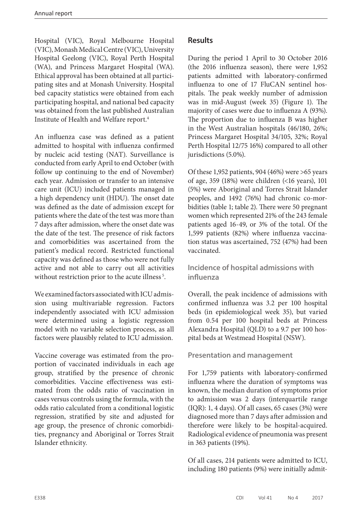Hospital (VIC), Royal Melbourne Hospital (VIC), Monash Medical Centre (VIC), University Hospital Geelong (VIC), Royal Perth Hospital (WA), and Princess Margaret Hospital (WA). Ethical approval has been obtained at all participating sites and at Monash University. Hospital bed capacity statistics were obtained from each participating hospital, and national bed capacity was obtained from the last published Australian Institute of Health and Welfare report.4

An influenza case was defined as a patient admitted to hospital with influenza confirmed by nucleic acid testing (NAT). Surveillance is conducted from early April to end October (with follow up continuing to the end of November) each year. Admission or transfer to an intensive care unit (ICU) included patients managed in a high dependency unit (HDU). The onset date was defined as the date of admission except for patients where the date of the test was more than 7 days after admission, where the onset date was the date of the test. The presence of risk factors and comorbidities was ascertained from the patient's medical record. Restricted functional capacity was defined as those who were not fully active and not able to carry out all activities without restriction prior to the acute illness<sup>5</sup>.

We examined factors associated with ICU admission using multivariable regression. Factors independently associated with ICU admission were determined using a logistic regression model with no variable selection process, as all factors were plausibly related to ICU admission.

Vaccine coverage was estimated from the proportion of vaccinated individuals in each age group, stratified by the presence of chronic comorbidities. Vaccine effectiveness was estimated from the odds ratio of vaccination in cases versus controls using the formula, with the odds ratio calculated from a conditional logistic regression, stratified by site and adjusted for age group, the presence of chronic comorbidities, pregnancy and Aboriginal or Torres Strait Islander ethnicity.

## **Results**

During the period 1 April to 30 October 2016 (the 2016 influenza season), there were 1,952 patients admitted with laboratory-confirmed influenza to one of 17 FluCAN sentinel hospitals. The peak weekly number of admission was in mid-August (week 35) (Figure 1). The majority of cases were due to influenza A (93%). The proportion due to influenza B was higher in the West Australian hospitals (46/180, 26%; Princess Margaret Hospital 34/105, 32%; Royal Perth Hospital 12/75 16%) compared to all other jurisdictions (5.0%).

Of these 1,952 patients, 904 (46%) were >65 years of age, 359 (18%) were children (<16 years), 101 (5%) were Aboriginal and Torres Strait Islander peoples, and 1492 (76%) had chronic co-morbidities (table 1; table 2). There were 50 pregnant women which represented 21% of the 243 female patients aged 16-49, or 3% of the total. Of the 1,599 patients (82%) where influenza vaccination status was ascertained, 752 (47%) had been vaccinated.

## **Incidence of hospital admissions with influenza**

Overall, the peak incidence of admissions with confirmed influenza was 3.2 per 100 hospital beds (in epidemiological week 35), but varied from 0.54 per 100 hospital beds at Princess Alexandra Hospital (QLD) to a 9.7 per 100 hospital beds at Westmead Hospital (NSW).

## **Presentation and management**

For 1,759 patients with laboratory-confirmed influenza where the duration of symptoms was known, the median duration of symptoms prior to admission was 2 days (interquartile range (IQR): 1, 4 days). Of all cases, 65 cases (3%) were diagnosed more than 7 days after admission and therefore were likely to be hospital-acquired. Radiological evidence of pneumonia was present in 363 patients (19%).

Of all cases, 214 patients were admitted to ICU, including 180 patients (9%) were initially admit-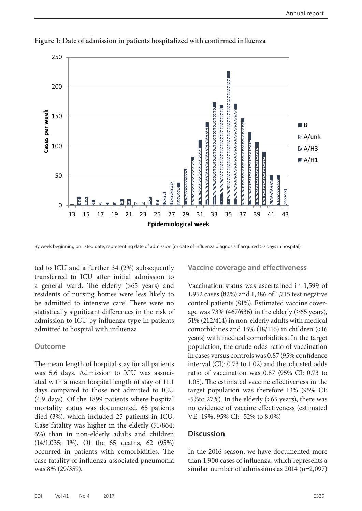

**Figure 1: Date of admission in patients hospitalized with confirmed influenza**

By week beginning on listed date; representing date of admission (or date of influenza diagnosis if acquired >7 days in hospital)

ted to ICU and a further 34 (2%) subsequently transferred to ICU after initial admission to a general ward. The elderly (>65 years) and residents of nursing homes were less likely to be admitted to intensive care. There were no statistically significant differences in the risk of admission to ICU by influenza type in patients admitted to hospital with influenza.

#### **Outcome**

The mean length of hospital stay for all patients was 5.6 days. Admission to ICU was associated with a mean hospital length of stay of 11.1 days compared to those not admitted to ICU (4.9 days). Of the 1899 patients where hospital mortality status was documented, 65 patients died (3%), which included 25 patients in ICU. Case fatality was higher in the elderly (51/864; 6%) than in non-elderly adults and children (14/1,035; 1%). Of the 65 deaths, 62 (95%) occurred in patients with comorbidities. The case fatality of influenza-associated pneumonia was 8% (29/359).

**Vaccine coverage and effectiveness**

Vaccination status was ascertained in 1,599 of 1,952 cases (82%) and 1,386 of 1,715 test negative control patients (81%). Estimated vaccine coverage was 73% (467/636) in the elderly ( $\geq$ 65 years), 51% (212/414) in non-elderly adults with medical comorbidities and 15% (18/116) in children (<16 years) with medical comorbidities. In the target population, the crude odds ratio of vaccination in cases versus controls was 0.87 (95% confidence interval (CI): 0.73 to 1.02) and the adjusted odds ratio of vaccination was 0.87 (95% CI: 0.73 to 1.05). The estimated vaccine effectiveness in the target population was therefore 13% (95% CI: -5%to 27%). In the elderly (>65 years), there was no evidence of vaccine effectiveness (estimated VE -19%, 95% CI: -52% to 8.0%)

#### **Discussion**

In the 2016 season, we have documented more than 1,900 cases of influenza, which represents a similar number of admissions as 2014 (n=2,097)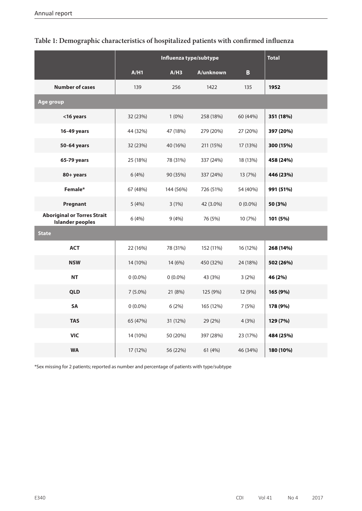|                                                               | Influenza type/subtype |            |           |                | <b>Total</b> |
|---------------------------------------------------------------|------------------------|------------|-----------|----------------|--------------|
|                                                               | A/H1                   | A/H3       | A/unknown | $\overline{B}$ |              |
| <b>Number of cases</b>                                        | 139                    | 256        | 1422      | 135            | 1952         |
| Age group                                                     |                        |            |           |                |              |
| <16 years                                                     | 32 (23%)               | $1(0\%)$   | 258 (18%) | 60 (44%)       | 351 (18%)    |
| 16-49 years                                                   | 44 (32%)               | 47 (18%)   | 279 (20%) | 27 (20%)       | 397 (20%)    |
| 50-64 years                                                   | 32 (23%)               | 40 (16%)   | 211 (15%) | 17 (13%)       | 300 (15%)    |
| 65-79 years                                                   | 25 (18%)               | 78 (31%)   | 337 (24%) | 18 (13%)       | 458 (24%)    |
| 80+ years                                                     | 6(4%)                  | 90 (35%)   | 337 (24%) | 13 (7%)        | 446 (23%)    |
| Female*                                                       | 67 (48%)               | 144 (56%)  | 726 (51%) | 54 (40%)       | 991 (51%)    |
| Pregnant                                                      | 5(4%)                  | 3(1%)      | 42 (3.0%) | $0(0.0\%)$     | 50 (3%)      |
| <b>Aboriginal or Torres Strait</b><br><b>Islander peoples</b> | 6(4%)                  | 9(4%)      | 76 (5%)   | 10 (7%)        | 101 (5%)     |
| <b>State</b>                                                  |                        |            |           |                |              |
| <b>ACT</b>                                                    | 22 (16%)               | 78 (31%)   | 152 (11%) | 16 (12%)       | 268 (14%)    |
| <b>NSW</b>                                                    | 14 (10%)               | 14 (6%)    | 450 (32%) | 24 (18%)       | 502 (26%)    |
| <b>NT</b>                                                     | $0(0.0\%)$             | $0(0.0\%)$ | 43 (3%)   | 3(2%)          | 46 (2%)      |
| <b>QLD</b>                                                    | $7(5.0\%)$             | 21 (8%)    | 125 (9%)  | 12 (9%)        | 165 (9%)     |
| <b>SA</b>                                                     | $0(0.0\%)$             | 6(2%)      | 165 (12%) | 7(5%)          | 178 (9%)     |
| <b>TAS</b>                                                    | 65 (47%)               | 31 (12%)   | 29(2%)    | 4(3%)          | 129 (7%)     |
| <b>VIC</b>                                                    | 14 (10%)               | 50 (20%)   | 397 (28%) | 23 (17%)       | 484 (25%)    |
| <b>WA</b>                                                     | 17 (12%)               | 56 (22%)   | 61 (4%)   | 46 (34%)       | 180 (10%)    |

## **Table 1: Demographic characteristics of hospitalized patients with confirmed influenza**

\*Sex missing for 2 patients; reported as number and percentage of patients with type/subtype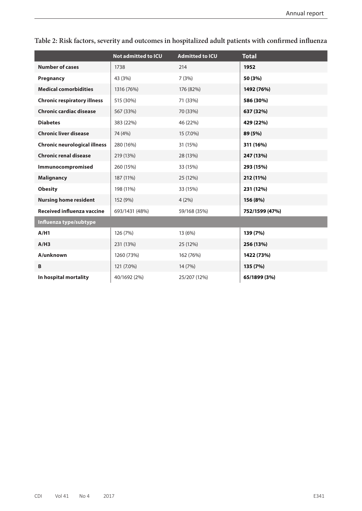|                                     | Not admitted to ICU | <b>Admitted to ICU</b> | <b>Total</b>   |  |  |  |  |
|-------------------------------------|---------------------|------------------------|----------------|--|--|--|--|
| <b>Number of cases</b>              | 1738                | 214                    | 1952           |  |  |  |  |
| Pregnancy                           | 43 (3%)             | 7(3%)                  | 50 (3%)        |  |  |  |  |
| <b>Medical comorbidities</b>        | 1316 (76%)          | 176 (82%)              | 1492 (76%)     |  |  |  |  |
| <b>Chronic respiratory illness</b>  | 515 (30%)           | 71 (33%)               | 586 (30%)      |  |  |  |  |
| <b>Chronic cardiac disease</b>      | 567 (33%)           | 70 (33%)               | 637 (32%)      |  |  |  |  |
| <b>Diabetes</b>                     | 383 (22%)           | 46 (22%)               | 429 (22%)      |  |  |  |  |
| <b>Chronic liver disease</b>        | 74 (4%)             | 15 (7.0%)              | 89 (5%)        |  |  |  |  |
| <b>Chronic neurological illness</b> | 280 (16%)           | 31 (15%)               | 311 (16%)      |  |  |  |  |
| <b>Chronic renal disease</b>        | 219 (13%)           | 28 (13%)               | 247 (13%)      |  |  |  |  |
| Immunocompromised                   | 260 (15%)           | 33 (15%)               | 293 (15%)      |  |  |  |  |
| <b>Malignancy</b>                   | 187 (11%)           | 25 (12%)               | 212 (11%)      |  |  |  |  |
| <b>Obesity</b>                      | 198 (11%)           | 33 (15%)               | 231 (12%)      |  |  |  |  |
| <b>Nursing home resident</b>        | 152 (9%)            | 4(2%)                  | 156 (8%)       |  |  |  |  |
| <b>Received influenza vaccine</b>   | 693/1431 (48%)      | 59/168 (35%)           | 752/1599 (47%) |  |  |  |  |
| Influenza type/subtype              |                     |                        |                |  |  |  |  |
| A/H1                                | 126 (7%)            | 13 (6%)                | 139 (7%)       |  |  |  |  |
| A/H3                                | 231 (13%)           | 25 (12%)               | 256 (13%)      |  |  |  |  |
| A/unknown                           | 1260 (73%)          | 162 (76%)              | 1422 (73%)     |  |  |  |  |
| B                                   | 121 (7.0%)          | 14 (7%)                | 135 (7%)       |  |  |  |  |
| In hospital mortality               | 40/1692 (2%)        | 25/207 (12%)           | 65/1899 (3%)   |  |  |  |  |

**Table 2: Risk factors, severity and outcomes in hospitalized adult patients with confirmed influenza**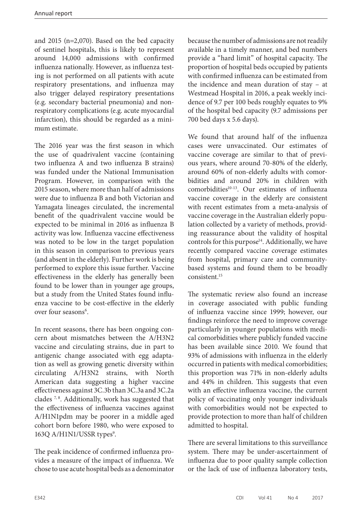and 2015 (n=2,070). Based on the bed capacity of sentinel hospitals, this is likely to represent around 14,000 admissions with confirmed influenza nationally. However, as influenza testing is not performed on all patients with acute respiratory presentations, and influenza may also trigger delayed respiratory presentations (e.g. secondary bacterial pneumonia) and nonrespiratory complications (e.g. acute myocardial infarction), this should be regarded as a minimum estimate.

The 2016 year was the first season in which the use of quadrivalent vaccine (containing two influenza A and two influenza B strains) was funded under the National Immunisation Program. However, in comparison with the 2015 season, where more than half of admissions were due to influenza B and both Victorian and Yamagata lineages circulated, the incremental benefit of the quadrivalent vaccine would be expected to be minimal in 2016 as influenza B activity was low. Influenza vaccine effectiveness was noted to be low in the target population in this season in comparison to previous years (and absent in the elderly). Further work is being performed to explore this issue further. Vaccine effectiveness in the elderly has generally been found to be lower than in younger age groups, but a study from the United States found influenza vaccine to be cost-effective in the elderly over four seasons<sup>6</sup>.

In recent seasons, there has been ongoing concern about mismatches between the A/H3N2 vaccine and circulating strains, due in part to antigenic change associated with egg adaptation as well as growing genetic diversity within circulating A/H3N2 strains, with North American data suggesting a higher vaccine effectiveness against 3C.3b than 3C.3a and 3C.2a clades<sup>7,8</sup>. Additionally, work has suggested that the effectiveness of influenza vaccines against A/H1N1pdm may be poorer in a middle aged cohort born before 1980, who were exposed to 163Q A/H1N1/USSR types<sup>9</sup>.

The peak incidence of confirmed influenza provides a measure of the impact of influenza. We chose to use acute hospital beds as a denominator because the number of admissions are not readily available in a timely manner, and bed numbers provide a "hard limit" of hospital capacity. The proportion of hospital beds occupied by patients with confirmed influenza can be estimated from the incidence and mean duration of stay – at Westmead Hospital in 2016, a peak weekly incidence of 9.7 per 100 beds roughly equates to 9% of the hospital bed capacity (9.7 admissions per 700 bed days x 5.6 days).

We found that around half of the influenza cases were unvaccinated. Our estimates of vaccine coverage are similar to that of previous years, where around 70-80% of the elderly, around 60% of non-elderly adults with comorbidities and around 20% in children with comorbidities<sup>10-13</sup>. Our estimates of influenza vaccine coverage in the elderly are consistent with recent estimates from a meta-analysis of vaccine coverage in the Australian elderly population collected by a variety of methods, providing reassurance about the validity of hospital controls for this purpose $14$ . Additionally, we have recently compared vaccine coverage estimates from hospital, primary care and communitybased systems and found them to be broadly consistent<sup>15</sup>

The systematic review also found an increase in coverage associated with public funding of influenza vaccine since 1999; however, our findings reinforce the need to improve coverage particularly in younger populations with medical comorbidities where publicly funded vaccine has been available since 2010. We found that 93% of admissions with influenza in the elderly occurred in patients with medical comorbidities; this proportion was 71% in non-elderly adults and 44% in children. This suggests that even with an effective influenza vaccine, the current policy of vaccinating only younger individuals with comorbidities would not be expected to provide protection to more than half of children admitted to hospital.

There are several limitations to this surveillance system. There may be under-ascertainment of influenza due to poor quality sample collection or the lack of use of influenza laboratory tests,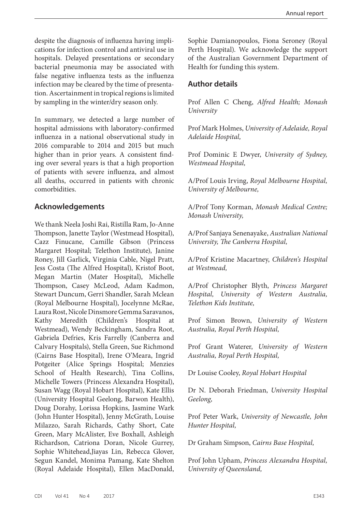despite the diagnosis of influenza having implications for infection control and antiviral use in hospitals. Delayed presentations or secondary bacterial pneumonia may be associated with false negative influenza tests as the influenza infection may be cleared by the time of presentation. Ascertainment in tropical regions is limited by sampling in the winter/dry season only.

In summary, we detected a large number of hospital admissions with laboratory-confirmed influenza in a national observational study in 2016 comparable to 2014 and 2015 but much higher than in prior years. A consistent finding over several years is that a high proportion of patients with severe influenza, and almost all deaths, occurred in patients with chronic comorbidities.

#### **Acknowledgements**

We thank Neela Joshi Rai, Ristilla Ram, Jo-Anne Thompson, Janette Taylor (Westmead Hospital), Cazz Finucane, Camille Gibson (Princess Margaret Hospital; Telethon Institute), Janine Roney, Jill Garlick, Virginia Cable, Nigel Pratt, Jess Costa (The Alfred Hospital), Kristof Boot, Megan Martin (Mater Hospital), Michelle Thompson, Casey McLeod, Adam Kadmon, Stewart Duncum, Gerri Shandler, Sarah Mclean (Royal Melbourne Hospital), Jocelynne McRae, Laura Rost, Nicole Dinsmore Gemma Saravanos, Kathy Meredith (Children's Hospital at Westmead), Wendy Beckingham, Sandra Root, Gabriela Defries, Kris Farrelly (Canberra and Calvary Hospitals), Stella Green, Sue Richmond (Cairns Base Hospital), Irene O'Meara, Ingrid Potgeiter (Alice Springs Hospital; Menzies School of Health Research), Tina Collins, Michelle Towers (Princess Alexandra Hospital), Susan Wagg (Royal Hobart Hospital), Kate Ellis (University Hospital Geelong, Barwon Health), Doug Dorahy, Lorissa Hopkins, Jasmine Wark (John Hunter Hospital), Jenny McGrath, Louise Milazzo, Sarah Richards, Cathy Short, Cate Green, Mary McAlister, Eve Boxhall, Ashleigh Richardson, Catriona Doran, Nicole Gurrey, Sophie Whitehead,Jiayas Lin, Rebecca Glover, Segun Kandel, Monima Pamang, Kate Shelton (Royal Adelaide Hospital), Ellen MacDonald, Sophie Damianopoulos, Fiona Seroney (Royal Perth Hospital). We acknowledge the support of the Australian Government Department of Health for funding this system.

## **Author details**

Prof Allen C Cheng, *Alfred Health; Monash University*

Prof Mark Holmes, *University of Adelaide, Royal Adelaide Hospital,*

Prof Dominic E Dwyer, *University of Sydney, Westmead Hospital,*

A/Prof Louis Irving, *Royal Melbourne Hospital, University of Melbourne,*

A/Prof Tony Korman, *Monash Medical Centre; Monash University,*

A/Prof Sanjaya Senenayake, *Australian National University, The Canberra Hospital,*

A/Prof Kristine Macartney, *Children's Hospital at Westmead,*

A/Prof Christopher Blyth, *Princess Margaret Hospital, University of Western Australia, Telethon Kids Institute,*

Prof Simon Brown, *University of Western Australia, Royal Perth Hospital,*

Prof Grant Waterer, *University of Western Australia, Royal Perth Hospital,*

Dr Louise Cooley, *Royal Hobart Hospital*

Dr N. Deborah Friedman, *University Hospital Geelong,*

Prof Peter Wark, *University of Newcastle, John Hunter Hospital,*

Dr Graham Simpson, *Cairns Base Hospital,*

Prof John Upham, *Princess Alexandra Hospital, University of Queensland,*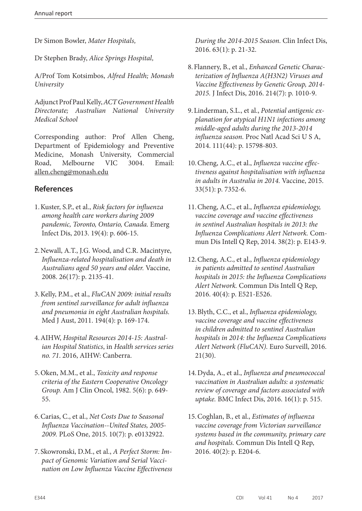Dr Simon Bowler, *Mater Hospitals,*

Dr Stephen Brady, *Alice Springs Hospital,*

A/Prof Tom Kotsimbos, *Alfred Health; Monash University*

Adjunct Prof Paul Kelly, *ACT Government Health Directorate; Australian National University Medical School*

Corresponding author: Prof Allen Cheng, Department of Epidemiology and Preventive Medicine, Monash University, Commercial Road, Melbourne VIC 3004. Email: [allen.cheng@monash.edu](mailto:allen.cheng%40monash.edu?subject=)

## **References**

- 1.Kuster, S.P., et al., *Risk factors for influenza among health care workers during 2009 pandemic, Toronto, Ontario, Canada.* Emerg Infect Dis, 2013. 19(4): p. 606-15.
- 2.Newall, A.T., J.G. Wood, and C.R. Macintyre, *Influenza-related hospitalisation and death in Australians aged 50 years and older.* Vaccine, 2008. 26(17): p. 2135-41.
- 3.Kelly, P.M., et al., *FluCAN 2009: initial results from sentinel surveillance for adult influenza and pneumonia in eight Australian hospitals.* Med J Aust, 2011. 194(4): p. 169-174.
- 4.AIHW, *Hospital Resources 2014-15: Australian Hospital Statistics*, in *Health services series no. 71*. 2016, AIHW: Canberra.
- 5.Oken, M.M., et al., *Toxicity and response criteria of the Eastern Cooperative Oncology Group.* Am J Clin Oncol, 1982. 5(6): p. 649- 55.
- 6.Carias, C., et al., *Net Costs Due to Seasonal Influenza Vaccination--United States, 2005- 2009.* PLoS One, 2015. 10(7): p. e0132922.
- 7. Skowronski, D.M., et al., *A Perfect Storm: Impact of Genomic Variation and Serial Vaccination on Low Influenza Vaccine Effectiveness*

*During the 2014-2015 Season.* Clin Infect Dis, 2016. 63(1): p. 21-32.

- 8.Flannery, B., et al., *Enhanced Genetic Characterization of Influenza A(H3N2) Viruses and Vaccine Effectiveness by Genetic Group, 2014- 2015.* J Infect Dis, 2016. 214(7): p. 1010-9.
- 9.Linderman, S.L., et al., *Potential antigenic explanation for atypical H1N1 infections among middle-aged adults during the 2013-2014 influenza season.* Proc Natl Acad Sci U S A, 2014. 111(44): p. 15798-803.
- 10.Cheng, A.C., et al., *Influenza vaccine effectiveness against hospitalisation with influenza in adults in Australia in 2014.* Vaccine, 2015. 33(51): p. 7352-6.
- 11.Cheng, A.C., et al., *Influenza epidemiology, vaccine coverage and vaccine effectiveness in sentinel Australian hospitals in 2013: the Influenza Complications Alert Network.* Commun Dis Intell Q Rep, 2014. 38(2): p. E143-9.
- 12.Cheng, A.C., et al., *Influenza epidemiology in patients admitted to sentinel Australian hospitals in 2015: the Influenza Complications Alert Network.* Commun Dis Intell Q Rep, 2016. 40(4): p. E521-E526.
- 13.Blyth, C.C., et al., *Influenza epidemiology, vaccine coverage and vaccine effectiveness in children admitted to sentinel Australian hospitals in 2014: the Influenza Complications Alert Network (FluCAN).* Euro Surveill, 2016. 21(30).
- 14.Dyda, A., et al., *Influenza and pneumococcal vaccination in Australian adults: a systematic review of coverage and factors associated with uptake.* BMC Infect Dis, 2016. 16(1): p. 515.
- 15.Coghlan, B., et al., *Estimates of influenza vaccine coverage from Victorian surveillance systems based in the community, primary care and hospitals.* Commun Dis Intell Q Rep, 2016. 40(2): p. E204-6.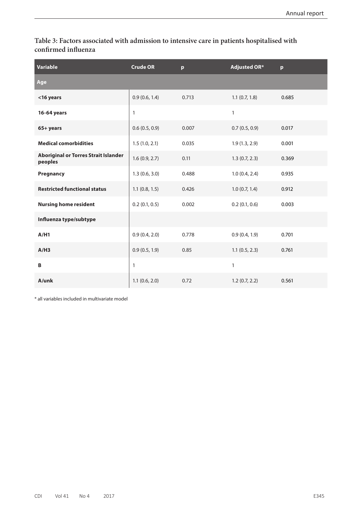| <b>Variable</b>                                        | <b>Crude OR</b> | p     | <b>Adjusted OR*</b> | p     |
|--------------------------------------------------------|-----------------|-------|---------------------|-------|
| Age                                                    |                 |       |                     |       |
| <16 years                                              | 0.9(0.6, 1.4)   | 0.713 | 1.1(0.7, 1.8)       | 0.685 |
| 16-64 years                                            | $\mathbf{1}$    |       | $\mathbf{1}$        |       |
| 65+ years                                              | 0.6(0.5, 0.9)   | 0.007 | 0.7(0.5, 0.9)       | 0.017 |
| <b>Medical comorbidities</b>                           | 1.5(1.0, 2.1)   | 0.035 | 1.9(1.3, 2.9)       | 0.001 |
| <b>Aboriginal or Torres Strait Islander</b><br>peoples | 1.6(0.9, 2.7)   | 0.11  | 1.3(0.7, 2.3)       | 0.369 |
| Pregnancy                                              | 1.3(0.6, 3.0)   | 0.488 | 1.0(0.4, 2.4)       | 0.935 |
| <b>Restricted functional status</b>                    | 1.1(0.8, 1.5)   | 0.426 | 1.0(0.7, 1.4)       | 0.912 |
| <b>Nursing home resident</b>                           | 0.2(0.1, 0.5)   | 0.002 | 0.2(0.1, 0.6)       | 0.003 |
| Influenza type/subtype                                 |                 |       |                     |       |
| A/H1                                                   | 0.9(0.4, 2.0)   | 0.778 | 0.9(0.4, 1.9)       | 0.701 |
| A/H3                                                   | 0.9(0.5, 1.9)   | 0.85  | 1.1(0.5, 2.3)       | 0.761 |
| B                                                      | $\mathbf{1}$    |       | $\mathbf{1}$        |       |
| A/unk                                                  | 1.1(0.6, 2.0)   | 0.72  | 1.2(0.7, 2.2)       | 0.561 |

**Table 3: Factors associated with admission to intensive care in patients hospitalised with confirmed influenza**

\* all variables included in multivariate model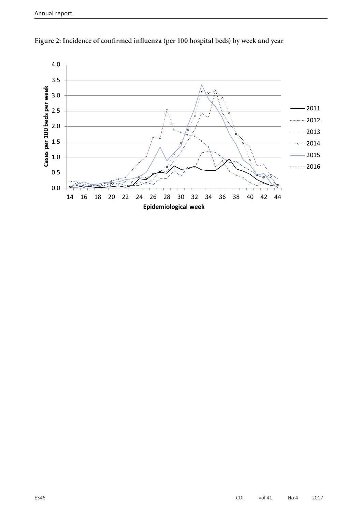